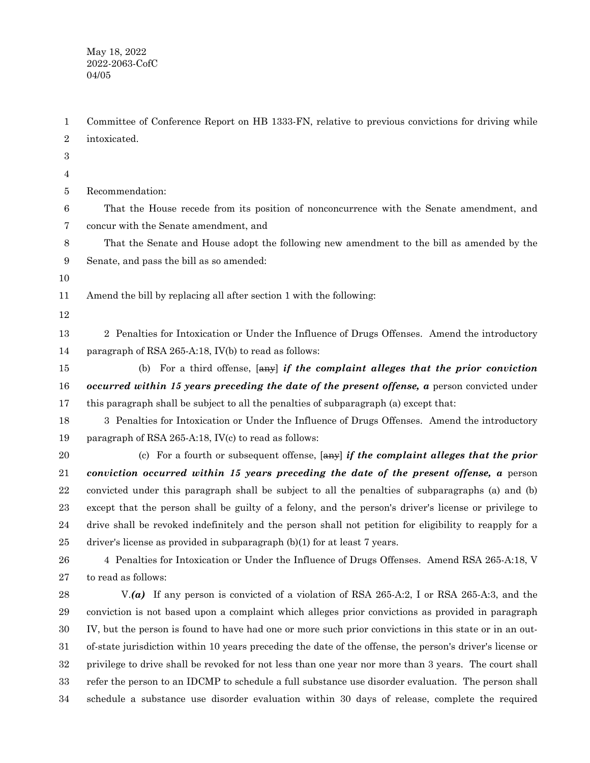Committee of Conference Report on HB 1333-FN, relative to previous convictions for driving while intoxicated. Recommendation: That the House recede from its position of nonconcurrence with the Senate amendment, and concur with the Senate amendment, and That the Senate and House adopt the following new amendment to the bill as amended by the Senate, and pass the bill as so amended: Amend the bill by replacing all after section 1 with the following: 2 Penalties for Intoxication or Under the Influence of Drugs Offenses. Amend the introductory paragraph of RSA 265-A:18, IV(b) to read as follows: (b) For a third offense, [any] *if the complaint alleges that the prior conviction occurred within 15 years preceding the date of the present offense, a* person convicted under this paragraph shall be subject to all the penalties of subparagraph (a) except that: 3 Penalties for Intoxication or Under the Influence of Drugs Offenses. Amend the introductory paragraph of RSA 265-A:18, IV(c) to read as follows: (c) For a fourth or subsequent offense, [any] *if the complaint alleges that the prior conviction occurred within 15 years preceding the date of the present offense, a* person convicted under this paragraph shall be subject to all the penalties of subparagraphs (a) and (b) except that the person shall be guilty of a felony, and the person's driver's license or privilege to drive shall be revoked indefinitely and the person shall not petition for eligibility to reapply for a driver's license as provided in subparagraph (b)(1) for at least 7 years. 4 Penalties for Intoxication or Under the Influence of Drugs Offenses. Amend RSA 265-A:18, V to read as follows: V.*(a)* If any person is convicted of a violation of RSA 265-A:2, I or RSA 265-A:3, and the conviction is not based upon a complaint which alleges prior convictions as provided in paragraph IV, but the person is found to have had one or more such prior convictions in this state or in an outof-state jurisdiction within 10 years preceding the date of the offense, the person's driver's license or privilege to drive shall be revoked for not less than one year nor more than 3 years. The court shall refer the person to an IDCMP to schedule a full substance use disorder evaluation. The person shall schedule a substance use disorder evaluation within 30 days of release, complete the required 1 2 3 4 5 6 7 8 9 10 11 12 13 14 15 16 17 18 19 20 21 22 23 24 25 26 27 28 29 30 31 32 33 34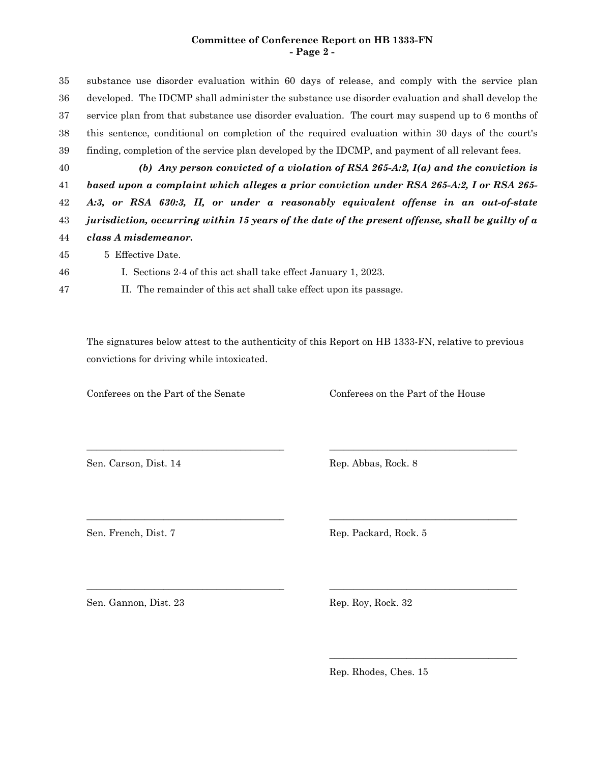## **Committee of Conference Report on HB 1333-FN - Page 2 -**

substance use disorder evaluation within 60 days of release, and comply with the service plan developed. The IDCMP shall administer the substance use disorder evaluation and shall develop the service plan from that substance use disorder evaluation. The court may suspend up to 6 months of this sentence, conditional on completion of the required evaluation within 30 days of the court's finding, completion of the service plan developed by the IDCMP, and payment of all relevant fees. 35 36 37 38 39

40

46 47

*(b) Any person convicted of a violation of RSA 265-A:2, I(a) and the conviction is based upon a complaint which alleges a prior conviction under RSA 265-A:2, I or RSA 265- A:3, or RSA 630:3, II, or under a reasonably equivalent offense in an out-of-state jurisdiction, occurring within 15 years of the date of the present offense, shall be guilty of a class A misdemeanor.* 41 42 43 44

- 
- 5 Effective Date. 45
	- I. Sections 2-4 of this act shall take effect January 1, 2023.
	- II. The remainder of this act shall take effect upon its passage.

The signatures below attest to the authenticity of this Report on HB 1333-FN, relative to previous convictions for driving while intoxicated.

\_\_\_\_\_\_\_\_\_\_\_\_\_\_\_\_\_\_\_\_\_\_\_\_\_\_\_\_\_\_\_\_\_\_\_\_\_\_\_\_\_ \_\_\_\_\_\_\_\_\_\_\_\_\_\_\_\_\_\_\_\_\_\_\_\_\_\_\_\_\_\_\_\_\_\_\_\_\_\_\_

\_\_\_\_\_\_\_\_\_\_\_\_\_\_\_\_\_\_\_\_\_\_\_\_\_\_\_\_\_\_\_\_\_\_\_\_\_\_\_\_\_ \_\_\_\_\_\_\_\_\_\_\_\_\_\_\_\_\_\_\_\_\_\_\_\_\_\_\_\_\_\_\_\_\_\_\_\_\_\_\_

\_\_\_\_\_\_\_\_\_\_\_\_\_\_\_\_\_\_\_\_\_\_\_\_\_\_\_\_\_\_\_\_\_\_\_\_\_\_\_\_\_ \_\_\_\_\_\_\_\_\_\_\_\_\_\_\_\_\_\_\_\_\_\_\_\_\_\_\_\_\_\_\_\_\_\_\_\_\_\_\_

Conferees on the Part of the Senate Conferees on the Part of the House

Sen. Carson, Dist. 14 Rep. Abbas, Rock. 8

Sen. French, Dist. 7 Rep. Packard, Rock. 5

Sen. Gannon, Dist. 23 Rep. Roy, Rock. 32

Rep. Rhodes, Ches. 15

\_\_\_\_\_\_\_\_\_\_\_\_\_\_\_\_\_\_\_\_\_\_\_\_\_\_\_\_\_\_\_\_\_\_\_\_\_\_\_